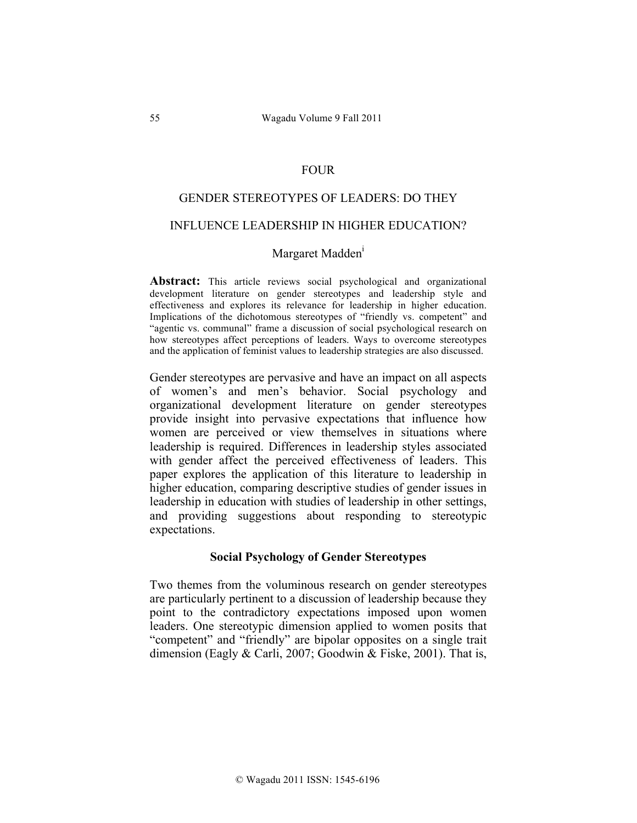#### FOUR

# GENDER STEREOTYPES OF LEADERS: DO THEY

#### INFLUENCE LEADERSHIP IN HIGHER EDUCATION?

#### Margaret Madden<sup>1</sup>

**Abstract:** This article reviews social psychological and organizational development literature on gender stereotypes and leadership style and effectiveness and explores its relevance for leadership in higher education. Implications of the dichotomous stereotypes of "friendly vs. competent" and "agentic vs. communal" frame a discussion of social psychological research on how stereotypes affect perceptions of leaders. Ways to overcome stereotypes and the application of feminist values to leadership strategies are also discussed.

Gender stereotypes are pervasive and have an impact on all aspects of women's and men's behavior. Social psychology and organizational development literature on gender stereotypes provide insight into pervasive expectations that influence how women are perceived or view themselves in situations where leadership is required. Differences in leadership styles associated with gender affect the perceived effectiveness of leaders. This paper explores the application of this literature to leadership in higher education, comparing descriptive studies of gender issues in leadership in education with studies of leadership in other settings, and providing suggestions about responding to stereotypic expectations.

#### **Social Psychology of Gender Stereotypes**

Two themes from the voluminous research on gender stereotypes are particularly pertinent to a discussion of leadership because they point to the contradictory expectations imposed upon women leaders. One stereotypic dimension applied to women posits that "competent" and "friendly" are bipolar opposites on a single trait dimension (Eagly & Carli, 2007; Goodwin & Fiske, 2001). That is,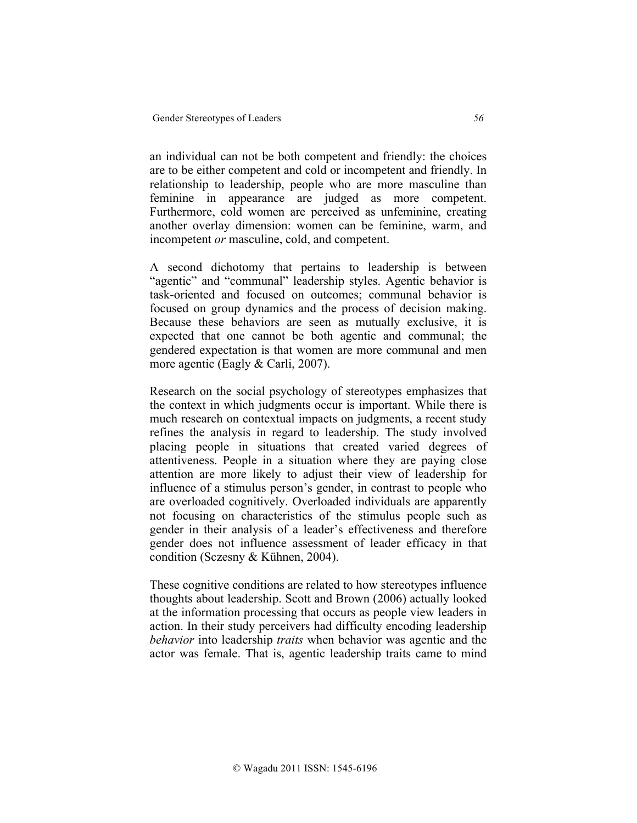an individual can not be both competent and friendly: the choices are to be either competent and cold or incompetent and friendly. In relationship to leadership, people who are more masculine than feminine in appearance are judged as more competent. Furthermore, cold women are perceived as unfeminine, creating another overlay dimension: women can be feminine, warm, and incompetent *or* masculine, cold, and competent.

A second dichotomy that pertains to leadership is between "agentic" and "communal" leadership styles. Agentic behavior is task-oriented and focused on outcomes; communal behavior is focused on group dynamics and the process of decision making. Because these behaviors are seen as mutually exclusive, it is expected that one cannot be both agentic and communal; the gendered expectation is that women are more communal and men more agentic (Eagly & Carli, 2007).

Research on the social psychology of stereotypes emphasizes that the context in which judgments occur is important. While there is much research on contextual impacts on judgments, a recent study refines the analysis in regard to leadership. The study involved placing people in situations that created varied degrees of attentiveness. People in a situation where they are paying close attention are more likely to adjust their view of leadership for influence of a stimulus person's gender, in contrast to people who are overloaded cognitively. Overloaded individuals are apparently not focusing on characteristics of the stimulus people such as gender in their analysis of a leader's effectiveness and therefore gender does not influence assessment of leader efficacy in that condition (Sczesny & Kühnen, 2004).

These cognitive conditions are related to how stereotypes influence thoughts about leadership. Scott and Brown (2006) actually looked at the information processing that occurs as people view leaders in action. In their study perceivers had difficulty encoding leadership *behavior* into leadership *traits* when behavior was agentic and the actor was female. That is, agentic leadership traits came to mind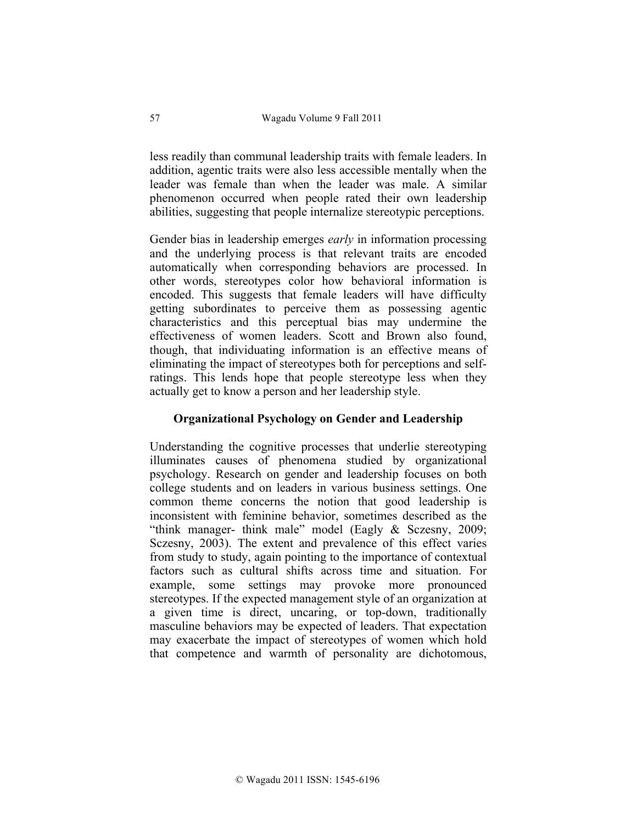less readily than communal leadership traits with female leaders. In addition, agentic traits were also less accessible mentally when the leader was female than when the leader was male. A similar phenomenon occurred when people rated their own leadership abilities, suggesting that people internalize stereotypic perceptions.

Gender bias in leadership emerges *early* in information processing and the underlying process is that relevant traits are encoded automatically when corresponding behaviors are processed. In other words, stereotypes color how behavioral information is encoded. This suggests that female leaders will have difficulty getting subordinates to perceive them as possessing agentic characteristics and this perceptual bias may undermine the effectiveness of women leaders. Scott and Brown also found, though, that individuating information is an effective means of eliminating the impact of stereotypes both for perceptions and selfratings. This lends hope that people stereotype less when they actually get to know a person and her leadership style.

# **Organizational Psychology on Gender and Leadership**

Understanding the cognitive processes that underlie stereotyping illuminates causes of phenomena studied by organizational psychology. Research on gender and leadership focuses on both college students and on leaders in various business settings. One common theme concerns the notion that good leadership is inconsistent with feminine behavior, sometimes described as the "think manager- think male" model (Eagly & Sczesny, 2009; Sczesny, 2003). The extent and prevalence of this effect varies from study to study, again pointing to the importance of contextual factors such as cultural shifts across time and situation. For example, some settings may provoke more pronounced stereotypes. If the expected management style of an organization at a given time is direct, uncaring, or top-down, traditionally masculine behaviors may be expected of leaders. That expectation may exacerbate the impact of stereotypes of women which hold that competence and warmth of personality are dichotomous,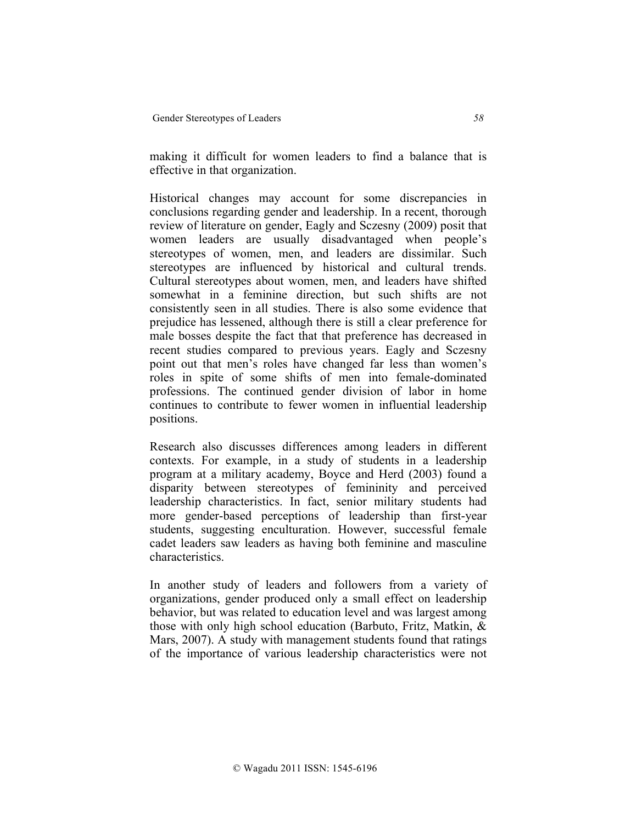making it difficult for women leaders to find a balance that is effective in that organization.

Historical changes may account for some discrepancies in conclusions regarding gender and leadership. In a recent, thorough review of literature on gender, Eagly and Sczesny (2009) posit that women leaders are usually disadvantaged when people's stereotypes of women, men, and leaders are dissimilar. Such stereotypes are influenced by historical and cultural trends. Cultural stereotypes about women, men, and leaders have shifted somewhat in a feminine direction, but such shifts are not consistently seen in all studies. There is also some evidence that prejudice has lessened, although there is still a clear preference for male bosses despite the fact that that preference has decreased in recent studies compared to previous years. Eagly and Sczesny point out that men's roles have changed far less than women's roles in spite of some shifts of men into female-dominated professions. The continued gender division of labor in home continues to contribute to fewer women in influential leadership positions.

Research also discusses differences among leaders in different contexts. For example, in a study of students in a leadership program at a military academy, Boyce and Herd (2003) found a disparity between stereotypes of femininity and perceived leadership characteristics. In fact, senior military students had more gender-based perceptions of leadership than first-year students, suggesting enculturation. However, successful female cadet leaders saw leaders as having both feminine and masculine characteristics.

In another study of leaders and followers from a variety of organizations, gender produced only a small effect on leadership behavior, but was related to education level and was largest among those with only high school education (Barbuto, Fritz, Matkin, & Mars, 2007). A study with management students found that ratings of the importance of various leadership characteristics were not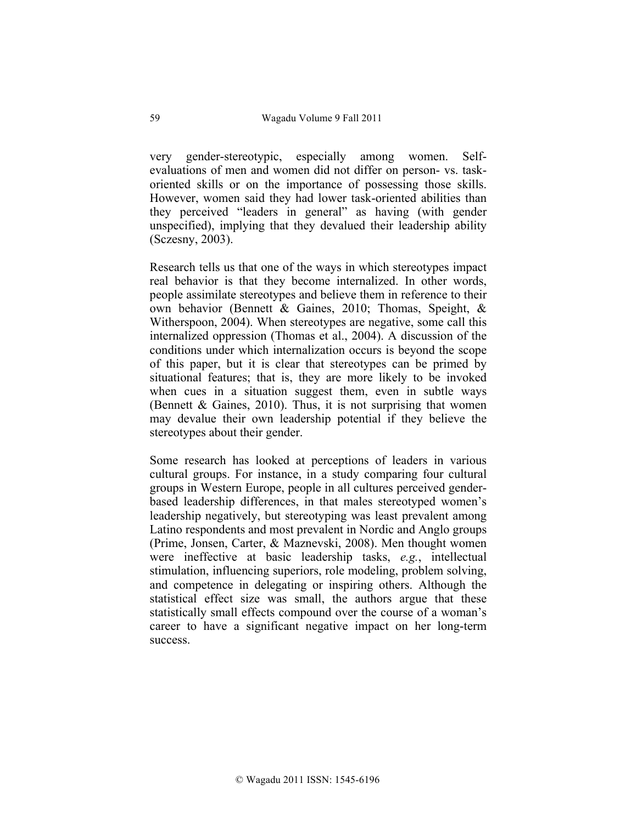very gender-stereotypic, especially among women. Selfevaluations of men and women did not differ on person- vs. taskoriented skills or on the importance of possessing those skills. However, women said they had lower task-oriented abilities than they perceived "leaders in general" as having (with gender unspecified), implying that they devalued their leadership ability (Sczesny, 2003).

Research tells us that one of the ways in which stereotypes impact real behavior is that they become internalized. In other words, people assimilate stereotypes and believe them in reference to their own behavior (Bennett & Gaines, 2010; Thomas, Speight, & Witherspoon, 2004). When stereotypes are negative, some call this internalized oppression (Thomas et al., 2004). A discussion of the conditions under which internalization occurs is beyond the scope of this paper, but it is clear that stereotypes can be primed by situational features; that is, they are more likely to be invoked when cues in a situation suggest them, even in subtle ways (Bennett & Gaines, 2010). Thus, it is not surprising that women may devalue their own leadership potential if they believe the stereotypes about their gender.

Some research has looked at perceptions of leaders in various cultural groups. For instance, in a study comparing four cultural groups in Western Europe, people in all cultures perceived genderbased leadership differences, in that males stereotyped women's leadership negatively, but stereotyping was least prevalent among Latino respondents and most prevalent in Nordic and Anglo groups (Prime, Jonsen, Carter, & Maznevski, 2008). Men thought women were ineffective at basic leadership tasks, *e.g.*, intellectual stimulation, influencing superiors, role modeling, problem solving, and competence in delegating or inspiring others. Although the statistical effect size was small, the authors argue that these statistically small effects compound over the course of a woman's career to have a significant negative impact on her long-term success.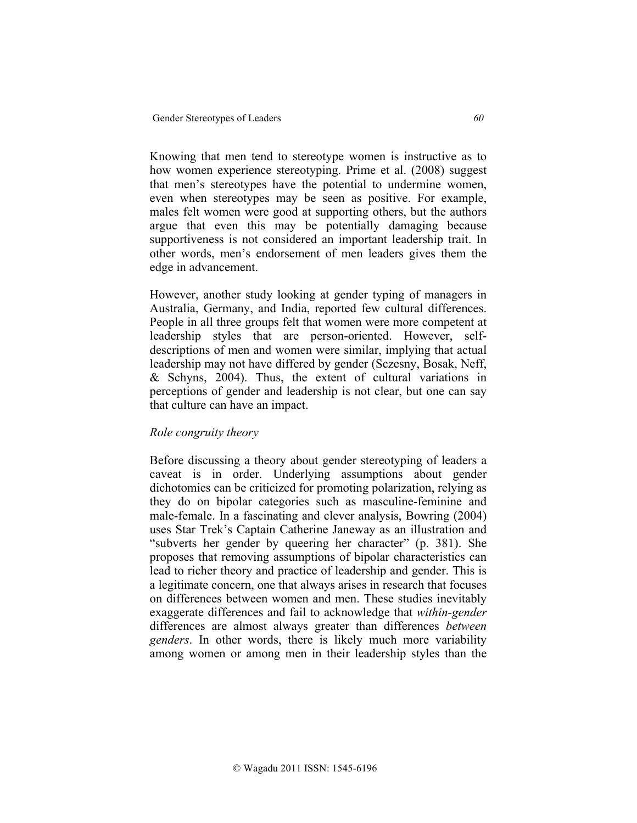Knowing that men tend to stereotype women is instructive as to how women experience stereotyping. Prime et al. (2008) suggest that men's stereotypes have the potential to undermine women, even when stereotypes may be seen as positive. For example, males felt women were good at supporting others, but the authors argue that even this may be potentially damaging because supportiveness is not considered an important leadership trait. In other words, men's endorsement of men leaders gives them the edge in advancement.

However, another study looking at gender typing of managers in Australia, Germany, and India, reported few cultural differences. People in all three groups felt that women were more competent at leadership styles that are person-oriented. However, selfdescriptions of men and women were similar, implying that actual leadership may not have differed by gender (Sczesny, Bosak, Neff, & Schyns, 2004). Thus, the extent of cultural variations in perceptions of gender and leadership is not clear, but one can say that culture can have an impact.

# *Role congruity theory*

Before discussing a theory about gender stereotyping of leaders a caveat is in order. Underlying assumptions about gender dichotomies can be criticized for promoting polarization, relying as they do on bipolar categories such as masculine-feminine and male-female. In a fascinating and clever analysis, Bowring (2004) uses Star Trek's Captain Catherine Janeway as an illustration and "subverts her gender by queering her character" (p. 381). She proposes that removing assumptions of bipolar characteristics can lead to richer theory and practice of leadership and gender. This is a legitimate concern, one that always arises in research that focuses on differences between women and men. These studies inevitably exaggerate differences and fail to acknowledge that *within-gender* differences are almost always greater than differences *between genders*. In other words, there is likely much more variability among women or among men in their leadership styles than the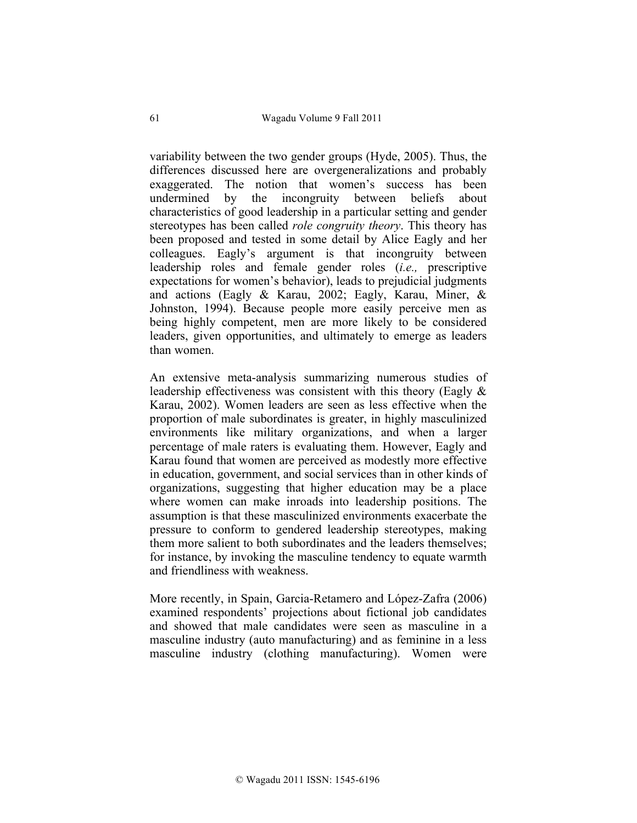variability between the two gender groups (Hyde, 2005). Thus, the differences discussed here are overgeneralizations and probably exaggerated. The notion that women's success has been undermined by the incongruity between beliefs about characteristics of good leadership in a particular setting and gender stereotypes has been called *role congruity theory*. This theory has been proposed and tested in some detail by Alice Eagly and her colleagues. Eagly's argument is that incongruity between leadership roles and female gender roles (*i.e.,* prescriptive expectations for women's behavior), leads to prejudicial judgments and actions (Eagly & Karau, 2002; Eagly, Karau, Miner, & Johnston, 1994). Because people more easily perceive men as being highly competent, men are more likely to be considered leaders, given opportunities, and ultimately to emerge as leaders than women.

An extensive meta-analysis summarizing numerous studies of leadership effectiveness was consistent with this theory (Eagly & Karau, 2002). Women leaders are seen as less effective when the proportion of male subordinates is greater, in highly masculinized environments like military organizations, and when a larger percentage of male raters is evaluating them. However, Eagly and Karau found that women are perceived as modestly more effective in education, government, and social services than in other kinds of organizations, suggesting that higher education may be a place where women can make inroads into leadership positions. The assumption is that these masculinized environments exacerbate the pressure to conform to gendered leadership stereotypes, making them more salient to both subordinates and the leaders themselves; for instance, by invoking the masculine tendency to equate warmth and friendliness with weakness.

More recently, in Spain, Garcia-Retamero and López-Zafra (2006) examined respondents' projections about fictional job candidates and showed that male candidates were seen as masculine in a masculine industry (auto manufacturing) and as feminine in a less masculine industry (clothing manufacturing). Women were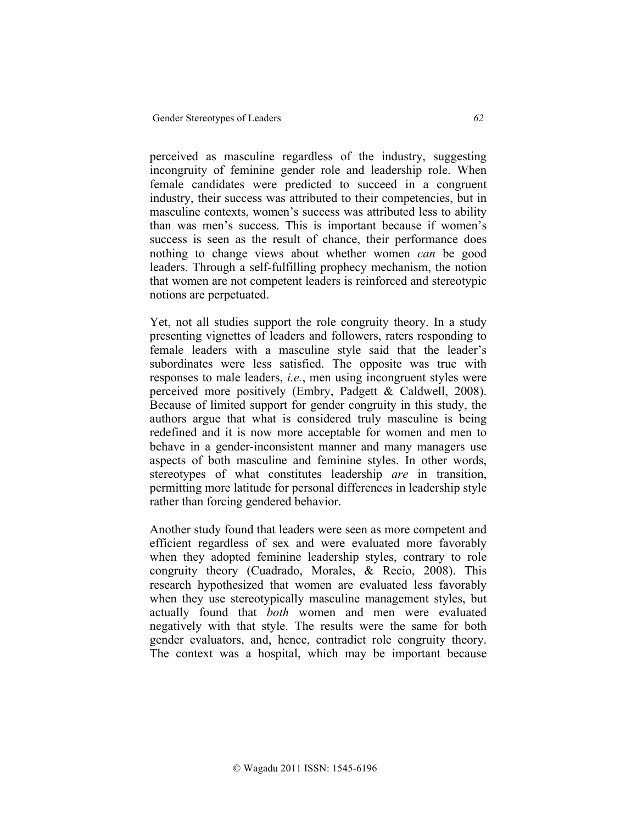perceived as masculine regardless of the industry, suggesting incongruity of feminine gender role and leadership role. When female candidates were predicted to succeed in a congruent industry, their success was attributed to their competencies, but in masculine contexts, women's success was attributed less to ability than was men's success. This is important because if women's success is seen as the result of chance, their performance does nothing to change views about whether women *can* be good leaders. Through a self-fulfilling prophecy mechanism, the notion that women are not competent leaders is reinforced and stereotypic notions are perpetuated.

Yet, not all studies support the role congruity theory. In a study presenting vignettes of leaders and followers, raters responding to female leaders with a masculine style said that the leader's subordinates were less satisfied. The opposite was true with responses to male leaders, *i.e.*, men using incongruent styles were perceived more positively (Embry, Padgett & Caldwell, 2008). Because of limited support for gender congruity in this study, the authors argue that what is considered truly masculine is being redefined and it is now more acceptable for women and men to behave in a gender-inconsistent manner and many managers use aspects of both masculine and feminine styles. In other words, stereotypes of what constitutes leadership *are* in transition, permitting more latitude for personal differences in leadership style rather than forcing gendered behavior.

Another study found that leaders were seen as more competent and efficient regardless of sex and were evaluated more favorably when they adopted feminine leadership styles, contrary to role congruity theory (Cuadrado, Morales, & Recio, 2008). This research hypothesized that women are evaluated less favorably when they use stereotypically masculine management styles, but actually found that *both* women and men were evaluated negatively with that style. The results were the same for both gender evaluators, and, hence, contradict role congruity theory. The context was a hospital, which may be important because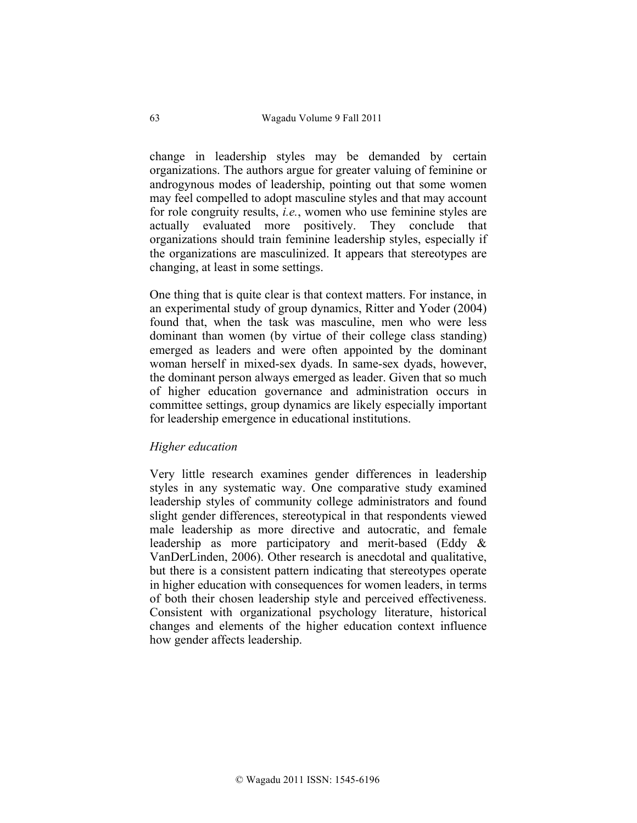change in leadership styles may be demanded by certain organizations. The authors argue for greater valuing of feminine or androgynous modes of leadership, pointing out that some women may feel compelled to adopt masculine styles and that may account for role congruity results, *i.e.*, women who use feminine styles are actually evaluated more positively. They conclude that organizations should train feminine leadership styles, especially if the organizations are masculinized. It appears that stereotypes are changing, at least in some settings.

One thing that is quite clear is that context matters. For instance, in an experimental study of group dynamics, Ritter and Yoder (2004) found that, when the task was masculine, men who were less dominant than women (by virtue of their college class standing) emerged as leaders and were often appointed by the dominant woman herself in mixed-sex dyads. In same-sex dyads, however, the dominant person always emerged as leader. Given that so much of higher education governance and administration occurs in committee settings, group dynamics are likely especially important for leadership emergence in educational institutions.

# *Higher education*

Very little research examines gender differences in leadership styles in any systematic way. One comparative study examined leadership styles of community college administrators and found slight gender differences, stereotypical in that respondents viewed male leadership as more directive and autocratic, and female leadership as more participatory and merit-based (Eddy & VanDerLinden, 2006). Other research is anecdotal and qualitative, but there is a consistent pattern indicating that stereotypes operate in higher education with consequences for women leaders, in terms of both their chosen leadership style and perceived effectiveness. Consistent with organizational psychology literature, historical changes and elements of the higher education context influence how gender affects leadership.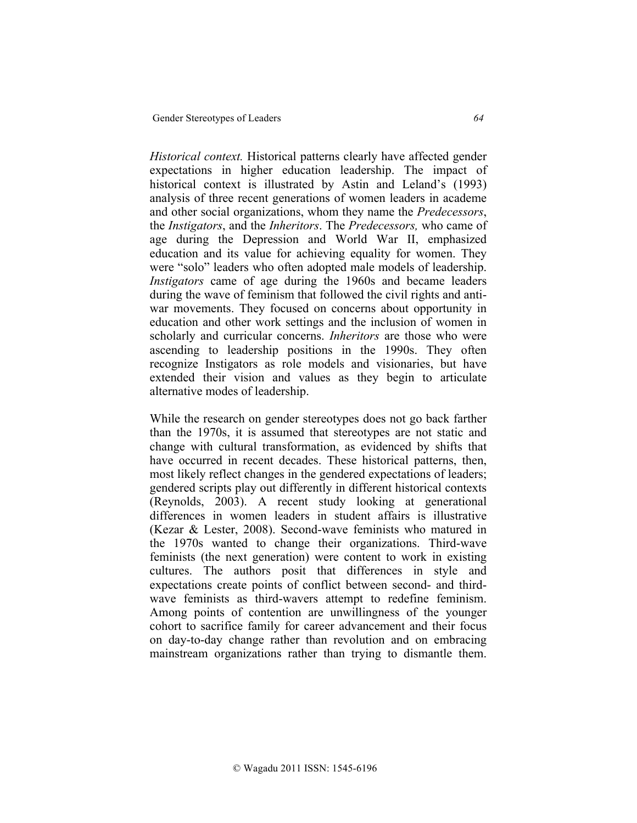*Historical context.* Historical patterns clearly have affected gender expectations in higher education leadership. The impact of historical context is illustrated by Astin and Leland's (1993) analysis of three recent generations of women leaders in academe and other social organizations, whom they name the *Predecessors*, the *Instigators*, and the *Inheritors*. The *Predecessors,* who came of age during the Depression and World War II, emphasized education and its value for achieving equality for women. They were "solo" leaders who often adopted male models of leadership. *Instigators* came of age during the 1960s and became leaders during the wave of feminism that followed the civil rights and antiwar movements. They focused on concerns about opportunity in education and other work settings and the inclusion of women in scholarly and curricular concerns. *Inheritors* are those who were ascending to leadership positions in the 1990s. They often recognize Instigators as role models and visionaries, but have extended their vision and values as they begin to articulate alternative modes of leadership.

While the research on gender stereotypes does not go back farther than the 1970s, it is assumed that stereotypes are not static and change with cultural transformation, as evidenced by shifts that have occurred in recent decades. These historical patterns, then, most likely reflect changes in the gendered expectations of leaders; gendered scripts play out differently in different historical contexts (Reynolds, 2003). A recent study looking at generational differences in women leaders in student affairs is illustrative (Kezar & Lester, 2008). Second-wave feminists who matured in the 1970s wanted to change their organizations. Third-wave feminists (the next generation) were content to work in existing cultures. The authors posit that differences in style and expectations create points of conflict between second- and thirdwave feminists as third-wavers attempt to redefine feminism. Among points of contention are unwillingness of the younger cohort to sacrifice family for career advancement and their focus on day-to-day change rather than revolution and on embracing mainstream organizations rather than trying to dismantle them.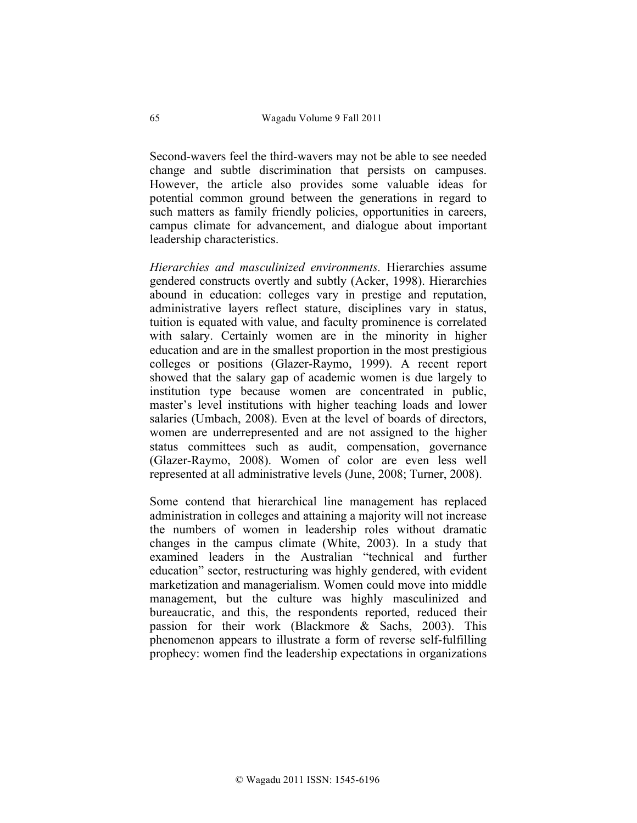Second-wavers feel the third-wavers may not be able to see needed change and subtle discrimination that persists on campuses. However, the article also provides some valuable ideas for potential common ground between the generations in regard to such matters as family friendly policies, opportunities in careers, campus climate for advancement, and dialogue about important leadership characteristics.

*Hierarchies and masculinized environments.* Hierarchies assume gendered constructs overtly and subtly (Acker, 1998). Hierarchies abound in education: colleges vary in prestige and reputation, administrative layers reflect stature, disciplines vary in status, tuition is equated with value, and faculty prominence is correlated with salary. Certainly women are in the minority in higher education and are in the smallest proportion in the most prestigious colleges or positions (Glazer-Raymo, 1999). A recent report showed that the salary gap of academic women is due largely to institution type because women are concentrated in public, master's level institutions with higher teaching loads and lower salaries (Umbach, 2008). Even at the level of boards of directors, women are underrepresented and are not assigned to the higher status committees such as audit, compensation, governance (Glazer-Raymo, 2008). Women of color are even less well represented at all administrative levels (June, 2008; Turner, 2008).

Some contend that hierarchical line management has replaced administration in colleges and attaining a majority will not increase the numbers of women in leadership roles without dramatic changes in the campus climate (White, 2003). In a study that examined leaders in the Australian "technical and further education" sector, restructuring was highly gendered, with evident marketization and managerialism. Women could move into middle management, but the culture was highly masculinized and bureaucratic, and this, the respondents reported, reduced their passion for their work (Blackmore & Sachs, 2003). This phenomenon appears to illustrate a form of reverse self-fulfilling prophecy: women find the leadership expectations in organizations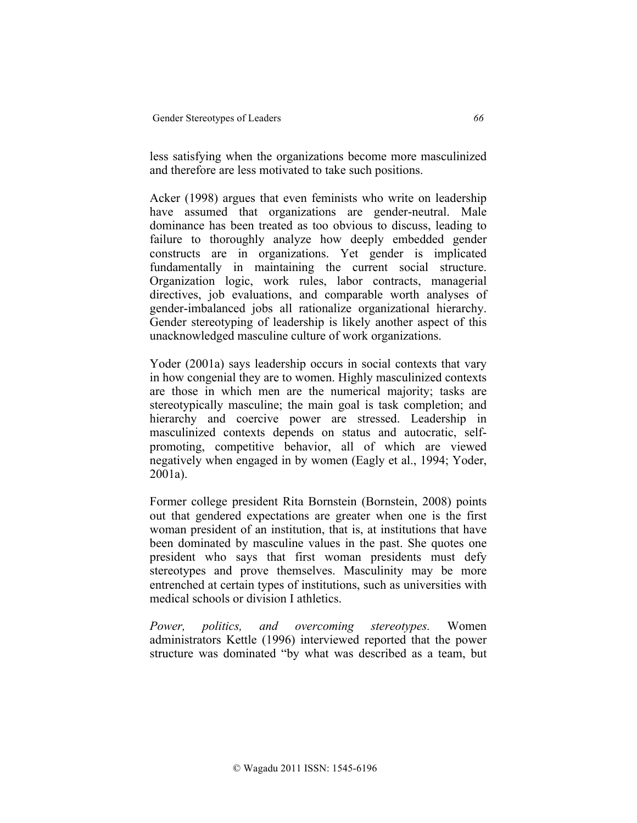less satisfying when the organizations become more masculinized and therefore are less motivated to take such positions.

Acker (1998) argues that even feminists who write on leadership have assumed that organizations are gender-neutral. Male dominance has been treated as too obvious to discuss, leading to failure to thoroughly analyze how deeply embedded gender constructs are in organizations. Yet gender is implicated fundamentally in maintaining the current social structure. Organization logic, work rules, labor contracts, managerial directives, job evaluations, and comparable worth analyses of gender-imbalanced jobs all rationalize organizational hierarchy. Gender stereotyping of leadership is likely another aspect of this unacknowledged masculine culture of work organizations.

Yoder (2001a) says leadership occurs in social contexts that vary in how congenial they are to women. Highly masculinized contexts are those in which men are the numerical majority; tasks are stereotypically masculine; the main goal is task completion; and hierarchy and coercive power are stressed. Leadership in masculinized contexts depends on status and autocratic, selfpromoting, competitive behavior, all of which are viewed negatively when engaged in by women (Eagly et al., 1994; Yoder, 2001a).

Former college president Rita Bornstein (Bornstein, 2008) points out that gendered expectations are greater when one is the first woman president of an institution, that is, at institutions that have been dominated by masculine values in the past. She quotes one president who says that first woman presidents must defy stereotypes and prove themselves. Masculinity may be more entrenched at certain types of institutions, such as universities with medical schools or division I athletics.

*Power, politics, and overcoming stereotypes.* Women administrators Kettle (1996) interviewed reported that the power structure was dominated "by what was described as a team, but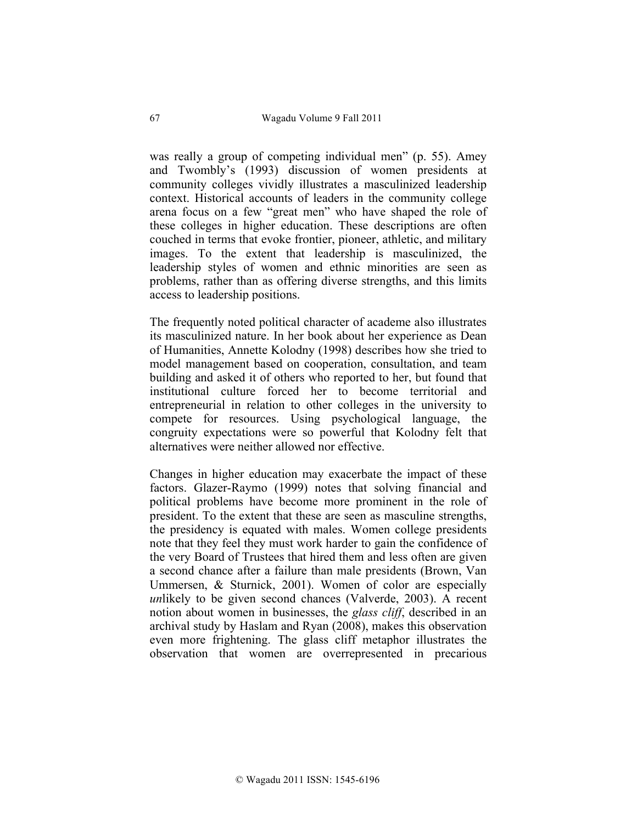was really a group of competing individual men" (p. 55). Amey and Twombly's (1993) discussion of women presidents at community colleges vividly illustrates a masculinized leadership context. Historical accounts of leaders in the community college arena focus on a few "great men" who have shaped the role of these colleges in higher education. These descriptions are often couched in terms that evoke frontier, pioneer, athletic, and military images. To the extent that leadership is masculinized, the leadership styles of women and ethnic minorities are seen as problems, rather than as offering diverse strengths, and this limits access to leadership positions.

The frequently noted political character of academe also illustrates its masculinized nature. In her book about her experience as Dean of Humanities, Annette Kolodny (1998) describes how she tried to model management based on cooperation, consultation, and team building and asked it of others who reported to her, but found that institutional culture forced her to become territorial and entrepreneurial in relation to other colleges in the university to compete for resources. Using psychological language, the congruity expectations were so powerful that Kolodny felt that alternatives were neither allowed nor effective.

Changes in higher education may exacerbate the impact of these factors. Glazer-Raymo (1999) notes that solving financial and political problems have become more prominent in the role of president. To the extent that these are seen as masculine strengths, the presidency is equated with males. Women college presidents note that they feel they must work harder to gain the confidence of the very Board of Trustees that hired them and less often are given a second chance after a failure than male presidents (Brown, Van Ummersen, & Sturnick, 2001). Women of color are especially *un*likely to be given second chances (Valverde, 2003). A recent notion about women in businesses, the *glass cliff*, described in an archival study by Haslam and Ryan (2008), makes this observation even more frightening. The glass cliff metaphor illustrates the observation that women are overrepresented in precarious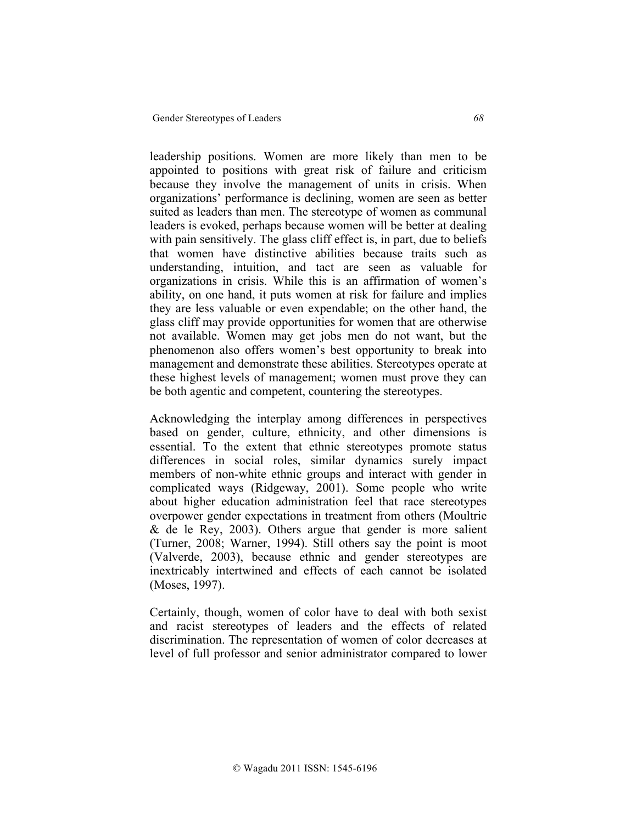leadership positions. Women are more likely than men to be appointed to positions with great risk of failure and criticism because they involve the management of units in crisis. When organizations' performance is declining, women are seen as better suited as leaders than men. The stereotype of women as communal leaders is evoked, perhaps because women will be better at dealing with pain sensitively. The glass cliff effect is, in part, due to beliefs that women have distinctive abilities because traits such as understanding, intuition, and tact are seen as valuable for organizations in crisis. While this is an affirmation of women's ability, on one hand, it puts women at risk for failure and implies they are less valuable or even expendable; on the other hand, the glass cliff may provide opportunities for women that are otherwise not available. Women may get jobs men do not want, but the phenomenon also offers women's best opportunity to break into management and demonstrate these abilities. Stereotypes operate at these highest levels of management; women must prove they can be both agentic and competent, countering the stereotypes.

Acknowledging the interplay among differences in perspectives based on gender, culture, ethnicity, and other dimensions is essential. To the extent that ethnic stereotypes promote status differences in social roles, similar dynamics surely impact members of non-white ethnic groups and interact with gender in complicated ways (Ridgeway, 2001). Some people who write about higher education administration feel that race stereotypes overpower gender expectations in treatment from others (Moultrie  $\&$  de le Rey, 2003). Others argue that gender is more salient (Turner, 2008; Warner, 1994). Still others say the point is moot (Valverde, 2003), because ethnic and gender stereotypes are inextricably intertwined and effects of each cannot be isolated (Moses, 1997).

Certainly, though, women of color have to deal with both sexist and racist stereotypes of leaders and the effects of related discrimination. The representation of women of color decreases at level of full professor and senior administrator compared to lower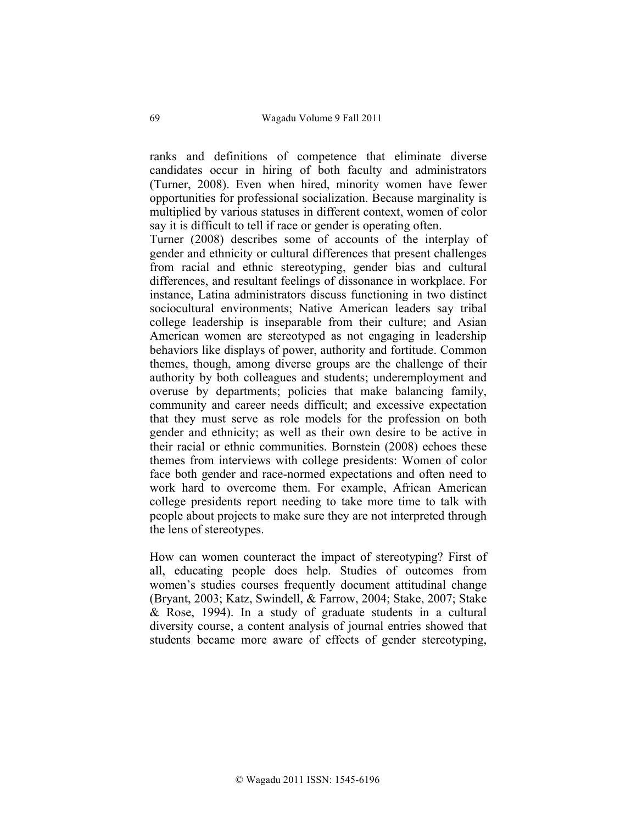ranks and definitions of competence that eliminate diverse candidates occur in hiring of both faculty and administrators (Turner, 2008). Even when hired, minority women have fewer opportunities for professional socialization. Because marginality is multiplied by various statuses in different context, women of color say it is difficult to tell if race or gender is operating often.

Turner (2008) describes some of accounts of the interplay of gender and ethnicity or cultural differences that present challenges from racial and ethnic stereotyping, gender bias and cultural differences, and resultant feelings of dissonance in workplace. For instance, Latina administrators discuss functioning in two distinct sociocultural environments; Native American leaders say tribal college leadership is inseparable from their culture; and Asian American women are stereotyped as not engaging in leadership behaviors like displays of power, authority and fortitude. Common themes, though, among diverse groups are the challenge of their authority by both colleagues and students; underemployment and overuse by departments; policies that make balancing family, community and career needs difficult; and excessive expectation that they must serve as role models for the profession on both gender and ethnicity; as well as their own desire to be active in their racial or ethnic communities. Bornstein (2008) echoes these themes from interviews with college presidents: Women of color face both gender and race-normed expectations and often need to work hard to overcome them. For example, African American college presidents report needing to take more time to talk with people about projects to make sure they are not interpreted through the lens of stereotypes.

How can women counteract the impact of stereotyping? First of all, educating people does help. Studies of outcomes from women's studies courses frequently document attitudinal change (Bryant, 2003; Katz, Swindell, & Farrow, 2004; Stake, 2007; Stake & Rose, 1994). In a study of graduate students in a cultural diversity course, a content analysis of journal entries showed that students became more aware of effects of gender stereotyping,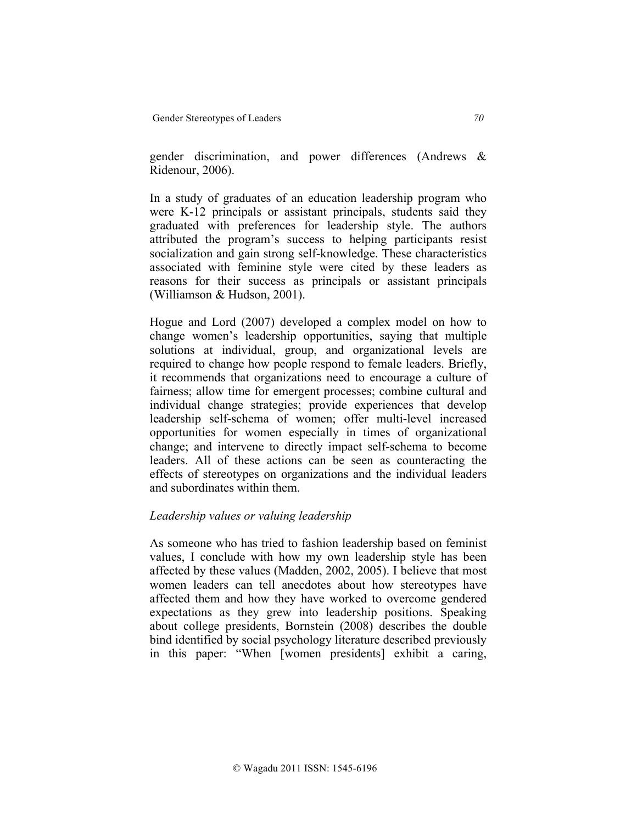gender discrimination, and power differences (Andrews & Ridenour, 2006).

In a study of graduates of an education leadership program who were K-12 principals or assistant principals, students said they graduated with preferences for leadership style. The authors attributed the program's success to helping participants resist socialization and gain strong self-knowledge. These characteristics associated with feminine style were cited by these leaders as reasons for their success as principals or assistant principals (Williamson & Hudson, 2001).

Hogue and Lord (2007) developed a complex model on how to change women's leadership opportunities, saying that multiple solutions at individual, group, and organizational levels are required to change how people respond to female leaders. Briefly, it recommends that organizations need to encourage a culture of fairness; allow time for emergent processes; combine cultural and individual change strategies; provide experiences that develop leadership self-schema of women; offer multi-level increased opportunities for women especially in times of organizational change; and intervene to directly impact self-schema to become leaders. All of these actions can be seen as counteracting the effects of stereotypes on organizations and the individual leaders and subordinates within them.

# *Leadership values or valuing leadership*

As someone who has tried to fashion leadership based on feminist values, I conclude with how my own leadership style has been affected by these values (Madden, 2002, 2005). I believe that most women leaders can tell anecdotes about how stereotypes have affected them and how they have worked to overcome gendered expectations as they grew into leadership positions. Speaking about college presidents, Bornstein (2008) describes the double bind identified by social psychology literature described previously in this paper: "When [women presidents] exhibit a caring,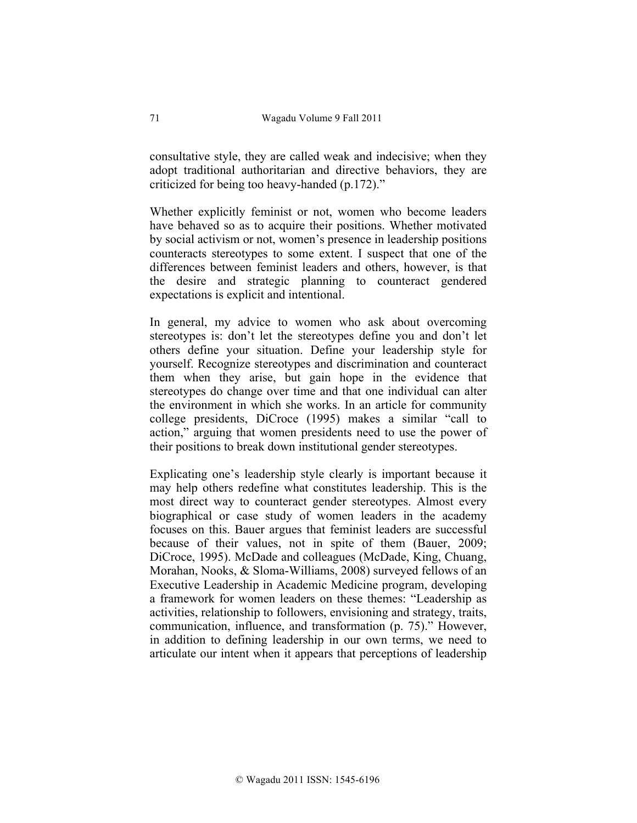consultative style, they are called weak and indecisive; when they adopt traditional authoritarian and directive behaviors, they are criticized for being too heavy-handed (p.172)."

Whether explicitly feminist or not, women who become leaders have behaved so as to acquire their positions. Whether motivated by social activism or not, women's presence in leadership positions counteracts stereotypes to some extent. I suspect that one of the differences between feminist leaders and others, however, is that the desire and strategic planning to counteract gendered expectations is explicit and intentional.

In general, my advice to women who ask about overcoming stereotypes is: don't let the stereotypes define you and don't let others define your situation. Define your leadership style for yourself. Recognize stereotypes and discrimination and counteract them when they arise, but gain hope in the evidence that stereotypes do change over time and that one individual can alter the environment in which she works. In an article for community college presidents, DiCroce (1995) makes a similar "call to action," arguing that women presidents need to use the power of their positions to break down institutional gender stereotypes.

Explicating one's leadership style clearly is important because it may help others redefine what constitutes leadership. This is the most direct way to counteract gender stereotypes. Almost every biographical or case study of women leaders in the academy focuses on this. Bauer argues that feminist leaders are successful because of their values, not in spite of them (Bauer, 2009; DiCroce, 1995). McDade and colleagues (McDade, King, Chuang, Morahan, Nooks, & Sloma-Williams, 2008) surveyed fellows of an Executive Leadership in Academic Medicine program, developing a framework for women leaders on these themes: "Leadership as activities, relationship to followers, envisioning and strategy, traits, communication, influence, and transformation (p. 75)." However, in addition to defining leadership in our own terms, we need to articulate our intent when it appears that perceptions of leadership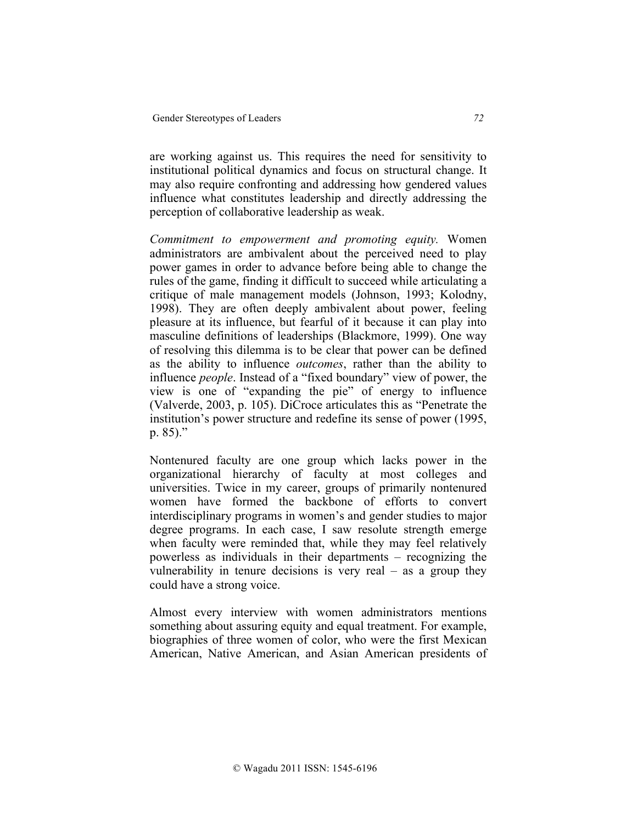are working against us. This requires the need for sensitivity to institutional political dynamics and focus on structural change. It may also require confronting and addressing how gendered values influence what constitutes leadership and directly addressing the perception of collaborative leadership as weak.

*Commitment to empowerment and promoting equity.* Women administrators are ambivalent about the perceived need to play power games in order to advance before being able to change the rules of the game, finding it difficult to succeed while articulating a critique of male management models (Johnson, 1993; Kolodny, 1998). They are often deeply ambivalent about power, feeling pleasure at its influence, but fearful of it because it can play into masculine definitions of leaderships (Blackmore, 1999). One way of resolving this dilemma is to be clear that power can be defined as the ability to influence *outcomes*, rather than the ability to influence *people*. Instead of a "fixed boundary" view of power, the view is one of "expanding the pie" of energy to influence (Valverde, 2003, p. 105). DiCroce articulates this as "Penetrate the institution's power structure and redefine its sense of power (1995, p. 85)."

Nontenured faculty are one group which lacks power in the organizational hierarchy of faculty at most colleges and universities. Twice in my career, groups of primarily nontenured women have formed the backbone of efforts to convert interdisciplinary programs in women's and gender studies to major degree programs. In each case, I saw resolute strength emerge when faculty were reminded that, while they may feel relatively powerless as individuals in their departments – recognizing the vulnerability in tenure decisions is very real  $-$  as a group they could have a strong voice.

Almost every interview with women administrators mentions something about assuring equity and equal treatment. For example, biographies of three women of color, who were the first Mexican American, Native American, and Asian American presidents of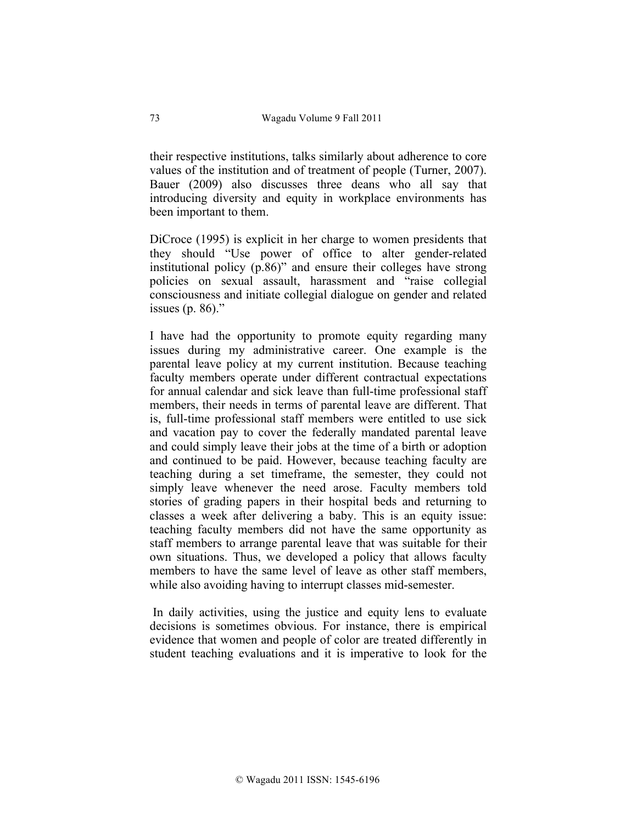their respective institutions, talks similarly about adherence to core values of the institution and of treatment of people (Turner, 2007). Bauer (2009) also discusses three deans who all say that introducing diversity and equity in workplace environments has been important to them.

DiCroce (1995) is explicit in her charge to women presidents that they should "Use power of office to alter gender-related institutional policy (p.86)" and ensure their colleges have strong policies on sexual assault, harassment and "raise collegial consciousness and initiate collegial dialogue on gender and related issues (p. 86)."

I have had the opportunity to promote equity regarding many issues during my administrative career. One example is the parental leave policy at my current institution. Because teaching faculty members operate under different contractual expectations for annual calendar and sick leave than full-time professional staff members, their needs in terms of parental leave are different. That is, full-time professional staff members were entitled to use sick and vacation pay to cover the federally mandated parental leave and could simply leave their jobs at the time of a birth or adoption and continued to be paid. However, because teaching faculty are teaching during a set timeframe, the semester, they could not simply leave whenever the need arose. Faculty members told stories of grading papers in their hospital beds and returning to classes a week after delivering a baby. This is an equity issue: teaching faculty members did not have the same opportunity as staff members to arrange parental leave that was suitable for their own situations. Thus, we developed a policy that allows faculty members to have the same level of leave as other staff members, while also avoiding having to interrupt classes mid-semester.

In daily activities, using the justice and equity lens to evaluate decisions is sometimes obvious. For instance, there is empirical evidence that women and people of color are treated differently in student teaching evaluations and it is imperative to look for the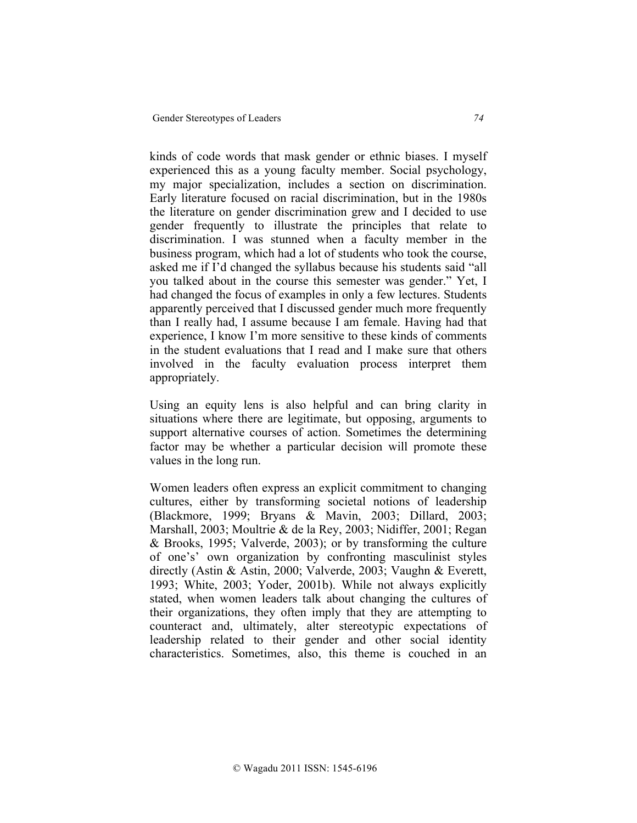kinds of code words that mask gender or ethnic biases. I myself experienced this as a young faculty member. Social psychology, my major specialization, includes a section on discrimination. Early literature focused on racial discrimination, but in the 1980s the literature on gender discrimination grew and I decided to use gender frequently to illustrate the principles that relate to discrimination. I was stunned when a faculty member in the business program, which had a lot of students who took the course, asked me if I'd changed the syllabus because his students said "all you talked about in the course this semester was gender." Yet, I had changed the focus of examples in only a few lectures. Students apparently perceived that I discussed gender much more frequently than I really had, I assume because I am female. Having had that experience, I know I'm more sensitive to these kinds of comments in the student evaluations that I read and I make sure that others involved in the faculty evaluation process interpret them appropriately.

Using an equity lens is also helpful and can bring clarity in situations where there are legitimate, but opposing, arguments to support alternative courses of action. Sometimes the determining factor may be whether a particular decision will promote these values in the long run.

Women leaders often express an explicit commitment to changing cultures, either by transforming societal notions of leadership (Blackmore, 1999; Bryans & Mavin, 2003; Dillard, 2003; Marshall, 2003; Moultrie & de la Rey, 2003; Nidiffer, 2001; Regan & Brooks, 1995; Valverde, 2003); or by transforming the culture of one's' own organization by confronting masculinist styles directly (Astin & Astin, 2000; Valverde, 2003; Vaughn & Everett, 1993; White, 2003; Yoder, 2001b). While not always explicitly stated, when women leaders talk about changing the cultures of their organizations, they often imply that they are attempting to counteract and, ultimately, alter stereotypic expectations of leadership related to their gender and other social identity characteristics. Sometimes, also, this theme is couched in an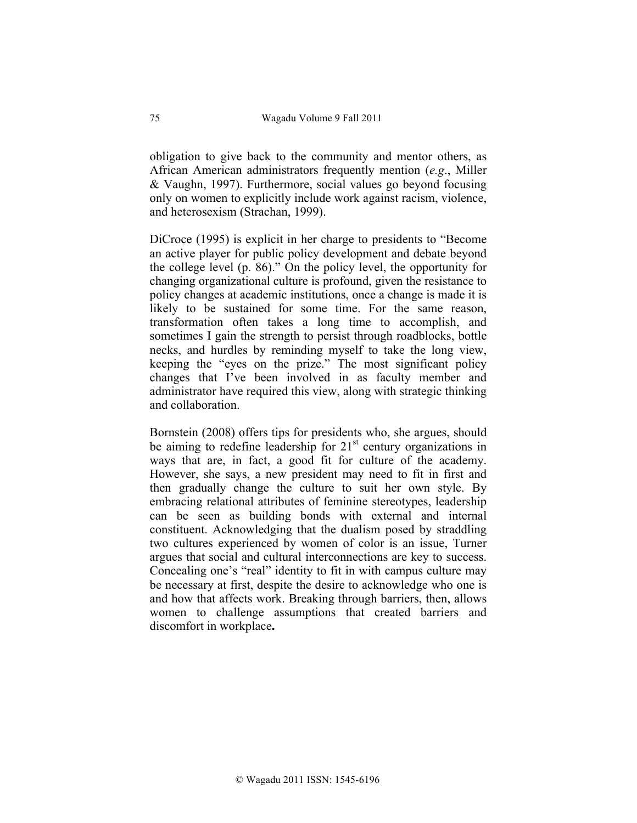obligation to give back to the community and mentor others, as African American administrators frequently mention (*e.g*., Miller & Vaughn, 1997). Furthermore, social values go beyond focusing only on women to explicitly include work against racism, violence, and heterosexism (Strachan, 1999).

DiCroce (1995) is explicit in her charge to presidents to "Become an active player for public policy development and debate beyond the college level (p. 86)." On the policy level, the opportunity for changing organizational culture is profound, given the resistance to policy changes at academic institutions, once a change is made it is likely to be sustained for some time. For the same reason, transformation often takes a long time to accomplish, and sometimes I gain the strength to persist through roadblocks, bottle necks, and hurdles by reminding myself to take the long view, keeping the "eyes on the prize." The most significant policy changes that I've been involved in as faculty member and administrator have required this view, along with strategic thinking and collaboration.

Bornstein (2008) offers tips for presidents who, she argues, should be aiming to redefine leadership for  $21<sup>st</sup>$  century organizations in ways that are, in fact, a good fit for culture of the academy. However, she says, a new president may need to fit in first and then gradually change the culture to suit her own style. By embracing relational attributes of feminine stereotypes, leadership can be seen as building bonds with external and internal constituent. Acknowledging that the dualism posed by straddling two cultures experienced by women of color is an issue, Turner argues that social and cultural interconnections are key to success. Concealing one's "real" identity to fit in with campus culture may be necessary at first, despite the desire to acknowledge who one is and how that affects work. Breaking through barriers, then, allows women to challenge assumptions that created barriers and discomfort in workplace**.**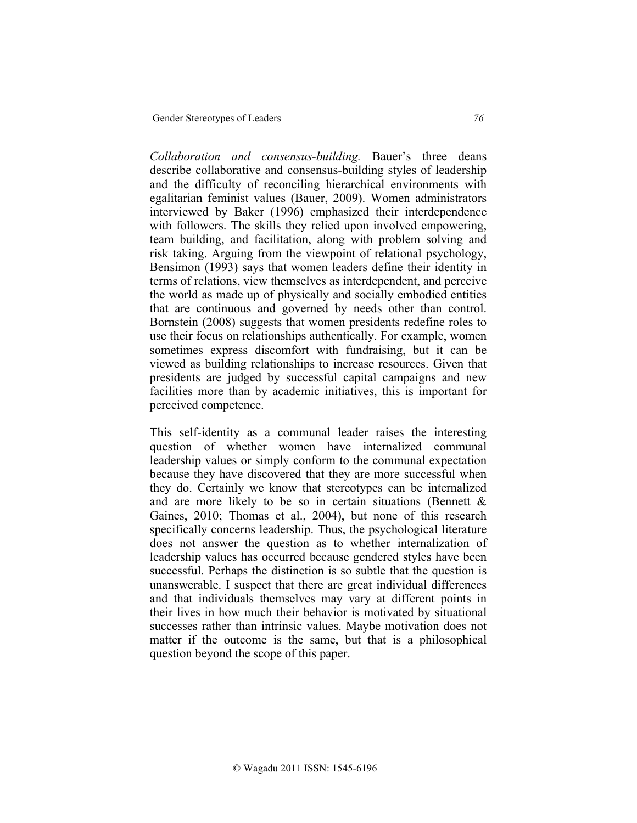*Collaboration and consensus-building.* Bauer's three deans describe collaborative and consensus-building styles of leadership and the difficulty of reconciling hierarchical environments with egalitarian feminist values (Bauer, 2009). Women administrators interviewed by Baker (1996) emphasized their interdependence with followers. The skills they relied upon involved empowering, team building, and facilitation, along with problem solving and risk taking. Arguing from the viewpoint of relational psychology, Bensimon (1993) says that women leaders define their identity in terms of relations, view themselves as interdependent, and perceive the world as made up of physically and socially embodied entities that are continuous and governed by needs other than control. Bornstein (2008) suggests that women presidents redefine roles to use their focus on relationships authentically. For example, women sometimes express discomfort with fundraising, but it can be viewed as building relationships to increase resources. Given that presidents are judged by successful capital campaigns and new facilities more than by academic initiatives, this is important for perceived competence.

This self-identity as a communal leader raises the interesting question of whether women have internalized communal leadership values or simply conform to the communal expectation because they have discovered that they are more successful when they do. Certainly we know that stereotypes can be internalized and are more likely to be so in certain situations (Bennett  $\&$ Gaines, 2010; Thomas et al., 2004), but none of this research specifically concerns leadership. Thus, the psychological literature does not answer the question as to whether internalization of leadership values has occurred because gendered styles have been successful. Perhaps the distinction is so subtle that the question is unanswerable. I suspect that there are great individual differences and that individuals themselves may vary at different points in their lives in how much their behavior is motivated by situational successes rather than intrinsic values. Maybe motivation does not matter if the outcome is the same, but that is a philosophical question beyond the scope of this paper.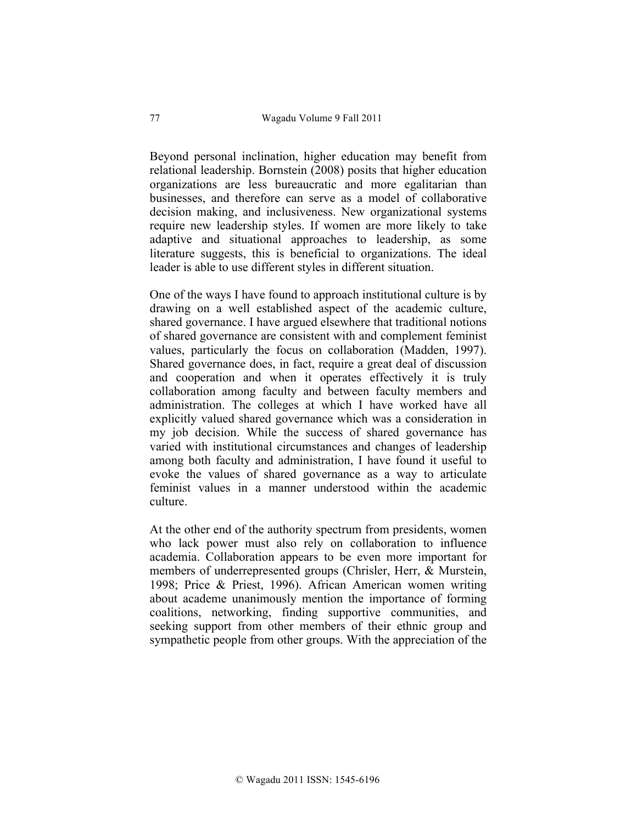Beyond personal inclination, higher education may benefit from relational leadership. Bornstein (2008) posits that higher education organizations are less bureaucratic and more egalitarian than businesses, and therefore can serve as a model of collaborative decision making, and inclusiveness. New organizational systems require new leadership styles. If women are more likely to take adaptive and situational approaches to leadership, as some literature suggests, this is beneficial to organizations. The ideal leader is able to use different styles in different situation.

One of the ways I have found to approach institutional culture is by drawing on a well established aspect of the academic culture, shared governance. I have argued elsewhere that traditional notions of shared governance are consistent with and complement feminist values, particularly the focus on collaboration (Madden, 1997). Shared governance does, in fact, require a great deal of discussion and cooperation and when it operates effectively it is truly collaboration among faculty and between faculty members and administration. The colleges at which I have worked have all explicitly valued shared governance which was a consideration in my job decision. While the success of shared governance has varied with institutional circumstances and changes of leadership among both faculty and administration, I have found it useful to evoke the values of shared governance as a way to articulate feminist values in a manner understood within the academic culture.

At the other end of the authority spectrum from presidents, women who lack power must also rely on collaboration to influence academia. Collaboration appears to be even more important for members of underrepresented groups (Chrisler, Herr, & Murstein, 1998; Price & Priest, 1996). African American women writing about academe unanimously mention the importance of forming coalitions, networking, finding supportive communities, and seeking support from other members of their ethnic group and sympathetic people from other groups. With the appreciation of the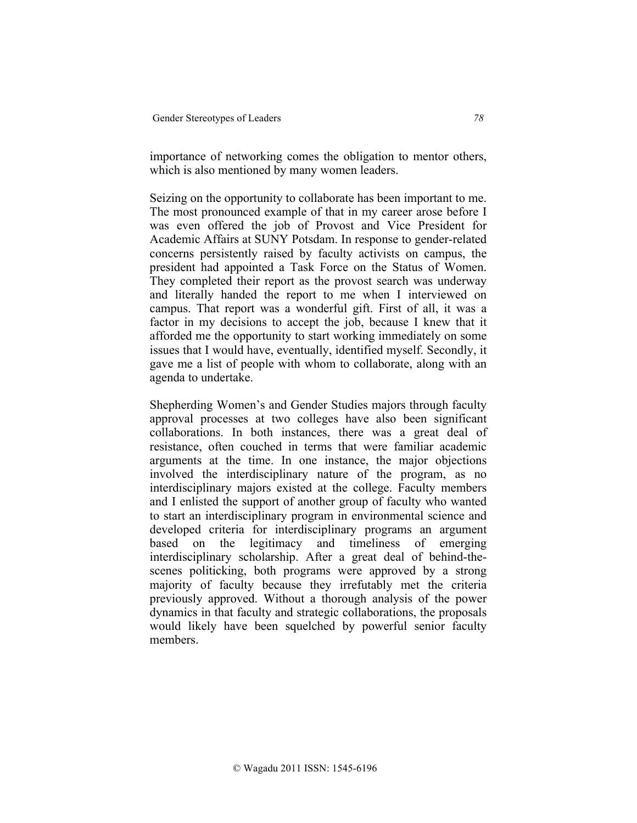importance of networking comes the obligation to mentor others, which is also mentioned by many women leaders.

Seizing on the opportunity to collaborate has been important to me. The most pronounced example of that in my career arose before I was even offered the job of Provost and Vice President for Academic Affairs at SUNY Potsdam. In response to gender-related concerns persistently raised by faculty activists on campus, the president had appointed a Task Force on the Status of Women. They completed their report as the provost search was underway and literally handed the report to me when I interviewed on campus. That report was a wonderful gift. First of all, it was a factor in my decisions to accept the job, because I knew that it afforded me the opportunity to start working immediately on some issues that I would have, eventually, identified myself. Secondly, it gave me a list of people with whom to collaborate, along with an agenda to undertake.

Shepherding Women's and Gender Studies majors through faculty approval processes at two colleges have also been significant collaborations. In both instances, there was a great deal of resistance, often couched in terms that were familiar academic arguments at the time. In one instance, the major objections involved the interdisciplinary nature of the program, as no interdisciplinary majors existed at the college. Faculty members and I enlisted the support of another group of faculty who wanted to start an interdisciplinary program in environmental science and developed criteria for interdisciplinary programs an argument based on the legitimacy and timeliness of emerging interdisciplinary scholarship. After a great deal of behind-thescenes politicking, both programs were approved by a strong majority of faculty because they irrefutably met the criteria previously approved. Without a thorough analysis of the power dynamics in that faculty and strategic collaborations, the proposals would likely have been squelched by powerful senior faculty members.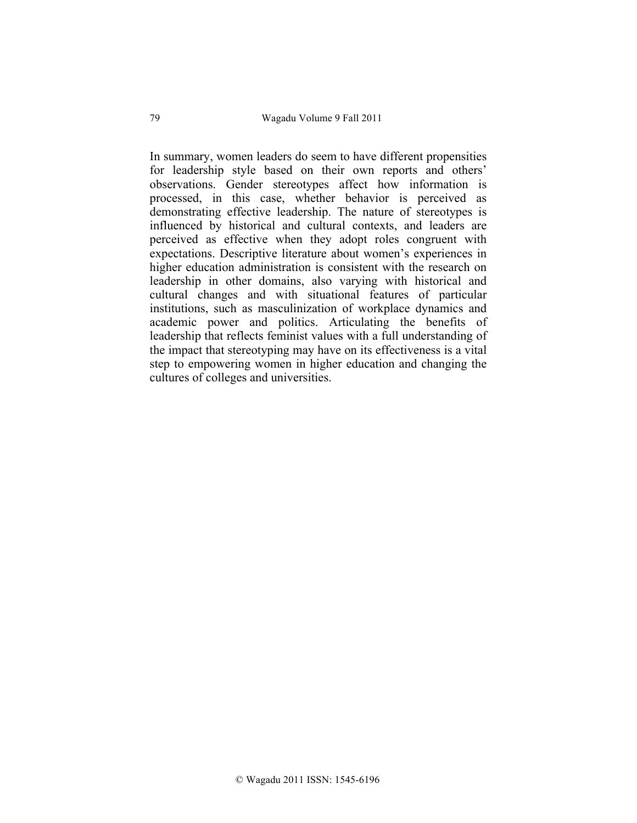In summary, women leaders do seem to have different propensities for leadership style based on their own reports and others' observations. Gender stereotypes affect how information is processed, in this case, whether behavior is perceived as demonstrating effective leadership. The nature of stereotypes is influenced by historical and cultural contexts, and leaders are perceived as effective when they adopt roles congruent with expectations. Descriptive literature about women's experiences in higher education administration is consistent with the research on leadership in other domains, also varying with historical and cultural changes and with situational features of particular institutions, such as masculinization of workplace dynamics and academic power and politics. Articulating the benefits of leadership that reflects feminist values with a full understanding of the impact that stereotyping may have on its effectiveness is a vital step to empowering women in higher education and changing the cultures of colleges and universities.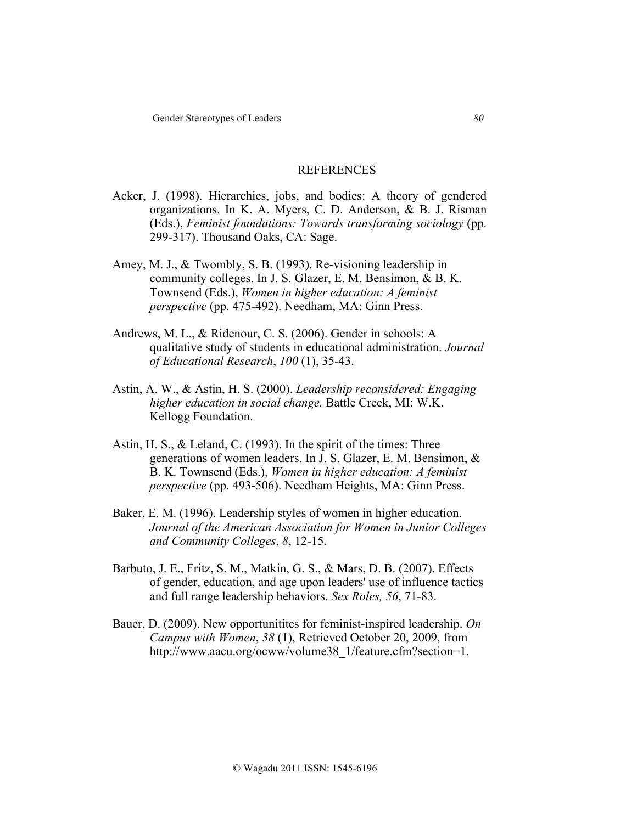#### REFERENCES

- Acker, J. (1998). Hierarchies, jobs, and bodies: A theory of gendered organizations. In K. A. Myers, C. D. Anderson, & B. J. Risman (Eds.), *Feminist foundations: Towards transforming sociology* (pp. 299-317). Thousand Oaks, CA: Sage.
- Amey, M. J., & Twombly, S. B. (1993). Re-visioning leadership in community colleges. In J. S. Glazer, E. M. Bensimon, & B. K. Townsend (Eds.), *Women in higher education: A feminist perspective* (pp. 475-492). Needham, MA: Ginn Press.
- Andrews, M. L., & Ridenour, C. S. (2006). Gender in schools: A qualitative study of students in educational administration. *Journal of Educational Research*, *100* (1), 35-43.
- Astin, A. W., & Astin, H. S. (2000). *Leadership reconsidered: Engaging higher education in social change.* Battle Creek, MI: W.K. Kellogg Foundation.
- Astin, H. S., & Leland, C. (1993). In the spirit of the times: Three generations of women leaders. In J. S. Glazer, E. M. Bensimon, & B. K. Townsend (Eds.), *Women in higher education: A feminist perspective* (pp. 493-506). Needham Heights, MA: Ginn Press.
- Baker, E. M. (1996). Leadership styles of women in higher education. *Journal of the American Association for Women in Junior Colleges and Community Colleges*, *8*, 12-15.
- Barbuto, J. E., Fritz, S. M., Matkin, G. S., & Mars, D. B. (2007). Effects of gender, education, and age upon leaders' use of influence tactics and full range leadership behaviors. *Sex Roles, 56*, 71-83.
- Bauer, D. (2009). New opportunitites for feminist-inspired leadership. *On Campus with Women*, *38* (1), Retrieved October 20, 2009, from http://www.aacu.org/ocww/volume38\_1/feature.cfm?section=1.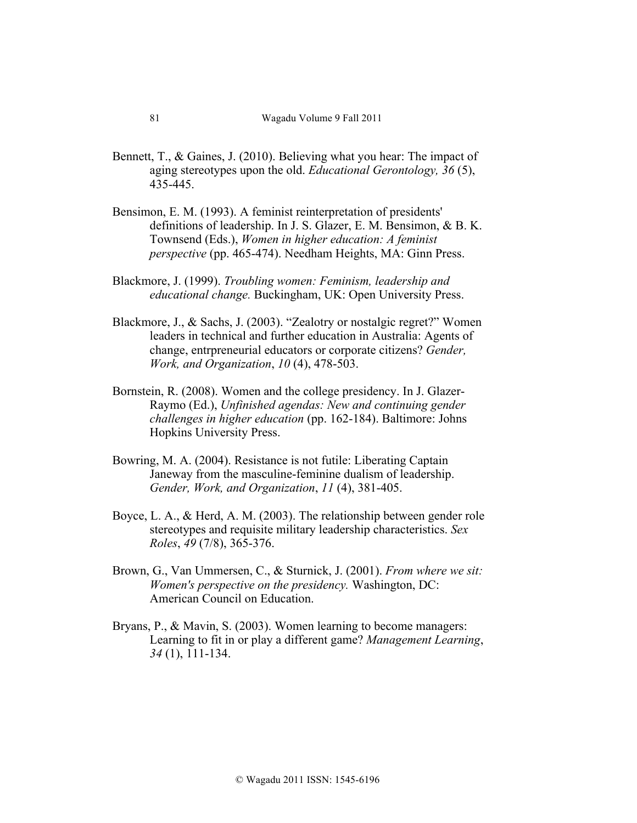- Bennett, T., & Gaines, J. (2010). Believing what you hear: The impact of aging stereotypes upon the old. *Educational Gerontology, 36* (5), 435-445.
- Bensimon, E. M. (1993). A feminist reinterpretation of presidents' definitions of leadership. In J. S. Glazer, E. M. Bensimon, & B. K. Townsend (Eds.), *Women in higher education: A feminist perspective* (pp. 465-474). Needham Heights, MA: Ginn Press.
- Blackmore, J. (1999). *Troubling women: Feminism, leadership and educational change.* Buckingham, UK: Open University Press.
- Blackmore, J., & Sachs, J. (2003). "Zealotry or nostalgic regret?" Women leaders in technical and further education in Australia: Agents of change, entrpreneurial educators or corporate citizens? *Gender, Work, and Organization*, *10* (4), 478-503.
- Bornstein, R. (2008). Women and the college presidency. In J. Glazer-Raymo (Ed.), *Unfinished agendas: New and continuing gender challenges in higher education* (pp. 162-184). Baltimore: Johns Hopkins University Press.
- Bowring, M. A. (2004). Resistance is not futile: Liberating Captain Janeway from the masculine-feminine dualism of leadership. *Gender, Work, and Organization*, *11* (4), 381-405.
- Boyce, L. A., & Herd, A. M. (2003). The relationship between gender role stereotypes and requisite military leadership characteristics. *Sex Roles*, *49* (7/8), 365-376.
- Brown, G., Van Ummersen, C., & Sturnick, J. (2001). *From where we sit: Women's perspective on the presidency.* Washington, DC: American Council on Education.
- Bryans, P., & Mavin, S. (2003). Women learning to become managers: Learning to fit in or play a different game? *Management Learning*, *34* (1), 111-134.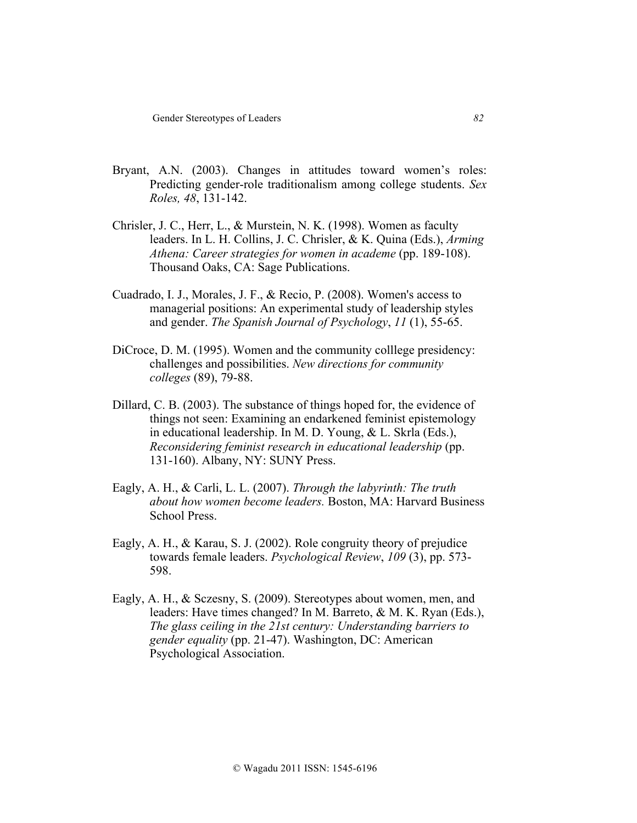- Bryant, A.N. (2003). Changes in attitudes toward women's roles: Predicting gender-role traditionalism among college students. *Sex Roles, 48*, 131-142.
- Chrisler, J. C., Herr, L., & Murstein, N. K. (1998). Women as faculty leaders. In L. H. Collins, J. C. Chrisler, & K. Quina (Eds.), *Arming Athena: Career strategies for women in academe* (pp. 189-108). Thousand Oaks, CA: Sage Publications.
- Cuadrado, I. J., Morales, J. F., & Recio, P. (2008). Women's access to managerial positions: An experimental study of leadership styles and gender. *The Spanish Journal of Psychology*, *11* (1), 55-65.
- DiCroce, D. M. (1995). Women and the community colllege presidency: challenges and possibilities. *New directions for community colleges* (89), 79-88.
- Dillard, C. B. (2003). The substance of things hoped for, the evidence of things not seen: Examining an endarkened feminist epistemology in educational leadership. In M. D. Young, & L. Skrla (Eds.), *Reconsidering feminist research in educational leadership* (pp. 131-160). Albany, NY: SUNY Press.
- Eagly, A. H., & Carli, L. L. (2007). *Through the labyrinth: The truth about how women become leaders.* Boston, MA: Harvard Business School Press.
- Eagly, A. H., & Karau, S. J. (2002). Role congruity theory of prejudice towards female leaders. *Psychological Review*, *109* (3), pp. 573- 598.
- Eagly, A. H., & Sczesny, S. (2009). Stereotypes about women, men, and leaders: Have times changed? In M. Barreto, & M. K. Ryan (Eds.), *The glass ceiling in the 21st century: Understanding barriers to gender equality* (pp. 21-47). Washington, DC: American Psychological Association.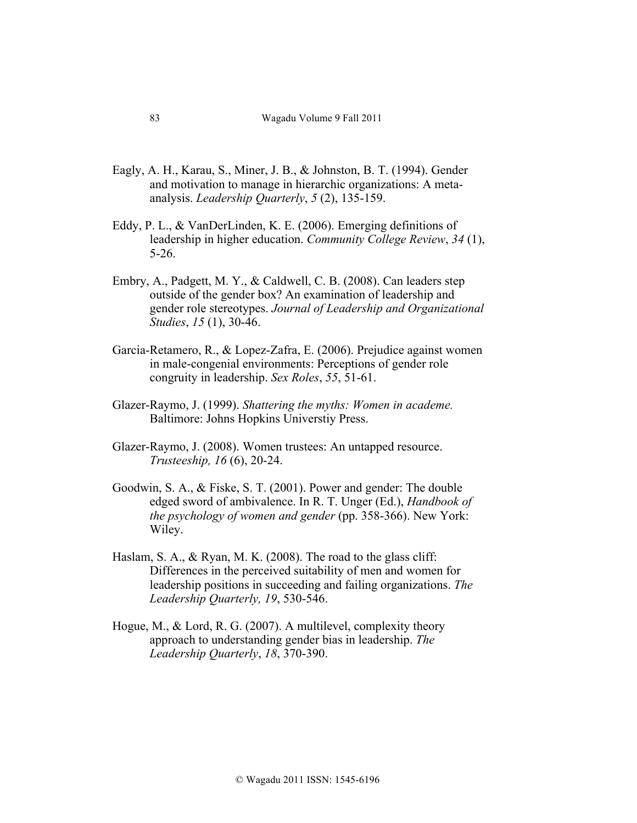- Eagly, A. H., Karau, S., Miner, J. B., & Johnston, B. T. (1994). Gender and motivation to manage in hierarchic organizations: A metaanalysis. *Leadership Quarterly*, *5* (2), 135-159.
- Eddy, P. L., & VanDerLinden, K. E. (2006). Emerging definitions of leadership in higher education. *Community College Review*, *34* (1), 5-26.
- Embry, A., Padgett, M. Y., & Caldwell, C. B. (2008). Can leaders step outside of the gender box? An examination of leadership and gender role stereotypes. *Journal of Leadership and Organizational Studies*, *15* (1), 30-46.
- Garcia-Retamero, R., & Lopez-Zafra, E. (2006). Prejudice against women in male-congenial environments: Perceptions of gender role congruity in leadership. *Sex Roles*, *55*, 51-61.
- Glazer-Raymo, J. (1999). *Shattering the myths: Women in academe.* Baltimore: Johns Hopkins Universtiy Press.
- Glazer-Raymo, J. (2008). Women trustees: An untapped resource. *Trusteeship, 16* (6), 20-24.
- Goodwin, S. A., & Fiske, S. T. (2001). Power and gender: The double edged sword of ambivalence. In R. T. Unger (Ed.), *Handbook of the psychology of women and gender* (pp. 358-366). New York: Wiley.
- Haslam, S. A., & Ryan, M. K. (2008). The road to the glass cliff: Differences in the perceived suitability of men and women for leadership positions in succeeding and failing organizations. *The Leadership Quarterly, 19*, 530-546.
- Hogue, M., & Lord, R. G. (2007). A multilevel, complexity theory approach to understanding gender bias in leadership. *The Leadership Quarterly*, *18*, 370-390.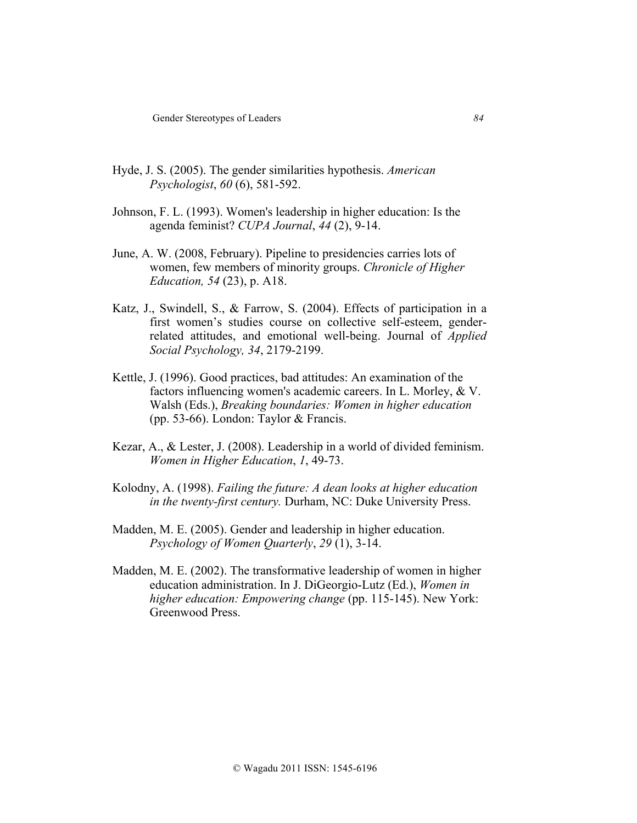- Hyde, J. S. (2005). The gender similarities hypothesis. *American Psychologist*, *60* (6), 581-592.
- Johnson, F. L. (1993). Women's leadership in higher education: Is the agenda feminist? *CUPA Journal*, *44* (2), 9-14.
- June, A. W. (2008, February). Pipeline to presidencies carries lots of women, few members of minority groups. *Chronicle of Higher Education, 54* (23), p. A18.
- Katz, J., Swindell, S., & Farrow, S. (2004). Effects of participation in a first women's studies course on collective self-esteem, genderrelated attitudes, and emotional well-being. Journal of *Applied Social Psychology, 34*, 2179-2199.
- Kettle, J. (1996). Good practices, bad attitudes: An examination of the factors influencing women's academic careers. In L. Morley, & V. Walsh (Eds.), *Breaking boundaries: Women in higher education* (pp. 53-66). London: Taylor & Francis.
- Kezar, A., & Lester, J. (2008). Leadership in a world of divided feminism. *Women in Higher Education*, *1*, 49-73.
- Kolodny, A. (1998). *Failing the future: A dean looks at higher education in the twenty-first century.* Durham, NC: Duke University Press.
- Madden, M. E. (2005). Gender and leadership in higher education. *Psychology of Women Quarterly*, *29* (1), 3-14.
- Madden, M. E. (2002). The transformative leadership of women in higher education administration. In J. DiGeorgio-Lutz (Ed.), *Women in higher education: Empowering change* (pp. 115-145). New York: Greenwood Press.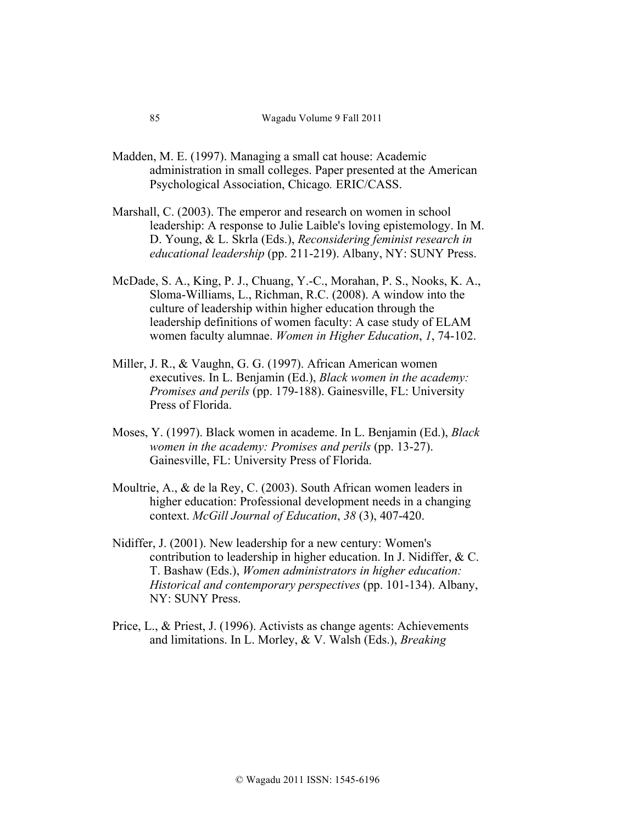- Madden, M. E. (1997). Managing a small cat house: Academic administration in small colleges. Paper presented at the American Psychological Association, Chicago*.* ERIC/CASS.
- Marshall, C. (2003). The emperor and research on women in school leadership: A response to Julie Laible's loving epistemology. In M. D. Young, & L. Skrla (Eds.), *Reconsidering feminist research in educational leadership* (pp. 211-219). Albany, NY: SUNY Press.
- McDade, S. A., King, P. J., Chuang, Y.-C., Morahan, P. S., Nooks, K. A., Sloma-Williams, L., Richman, R.C. (2008). A window into the culture of leadership within higher education through the leadership definitions of women faculty: A case study of ELAM women faculty alumnae. *Women in Higher Education*, *1*, 74-102.
- Miller, J. R., & Vaughn, G. G. (1997). African American women executives. In L. Benjamin (Ed.), *Black women in the academy: Promises and perils* (pp. 179-188). Gainesville, FL: University Press of Florida.
- Moses, Y. (1997). Black women in academe. In L. Benjamin (Ed.), *Black women in the academy: Promises and perils* (pp. 13-27). Gainesville, FL: University Press of Florida.
- Moultrie, A., & de la Rey, C. (2003). South African women leaders in higher education: Professional development needs in a changing context. *McGill Journal of Education*, *38* (3), 407-420.
- Nidiffer, J. (2001). New leadership for a new century: Women's contribution to leadership in higher education. In J. Nidiffer, & C. T. Bashaw (Eds.), *Women administrators in higher education: Historical and contemporary perspectives* (pp. 101-134). Albany, NY: SUNY Press.
- Price, L., & Priest, J. (1996). Activists as change agents: Achievements and limitations. In L. Morley, & V. Walsh (Eds.), *Breaking*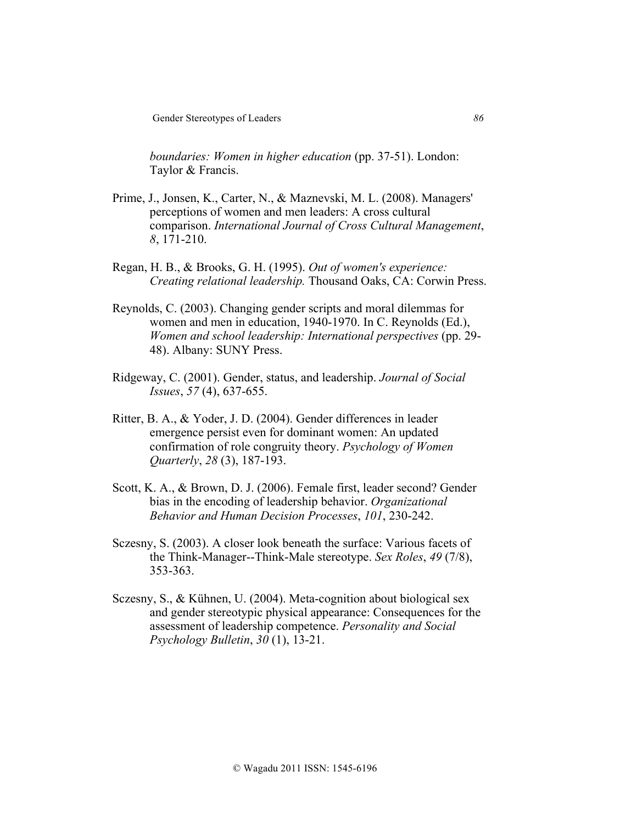Gender Stereotypes of Leaders **86** 

*boundaries: Women in higher education* (pp. 37-51). London: Taylor & Francis.

- Prime, J., Jonsen, K., Carter, N., & Maznevski, M. L. (2008). Managers' perceptions of women and men leaders: A cross cultural comparison. *International Journal of Cross Cultural Management*, *8*, 171-210.
- Regan, H. B., & Brooks, G. H. (1995). *Out of women's experience: Creating relational leadership.* Thousand Oaks, CA: Corwin Press.
- Reynolds, C. (2003). Changing gender scripts and moral dilemmas for women and men in education, 1940-1970. In C. Reynolds (Ed.), *Women and school leadership: International perspectives* (pp. 29- 48). Albany: SUNY Press.
- Ridgeway, C. (2001). Gender, status, and leadership. *Journal of Social Issues*, *57* (4), 637-655.
- Ritter, B. A., & Yoder, J. D. (2004). Gender differences in leader emergence persist even for dominant women: An updated confirmation of role congruity theory. *Psychology of Women Quarterly*, *28* (3), 187-193.
- Scott, K. A., & Brown, D. J. (2006). Female first, leader second? Gender bias in the encoding of leadership behavior. *Organizational Behavior and Human Decision Processes*, *101*, 230-242.
- Sczesny, S. (2003). A closer look beneath the surface: Various facets of the Think-Manager--Think-Male stereotype. *Sex Roles*, *49* (7/8), 353-363.
- Sczesny, S., & Kühnen, U. (2004). Meta-cognition about biological sex and gender stereotypic physical appearance: Consequences for the assessment of leadership competence. *Personality and Social Psychology Bulletin*, *30* (1), 13-21.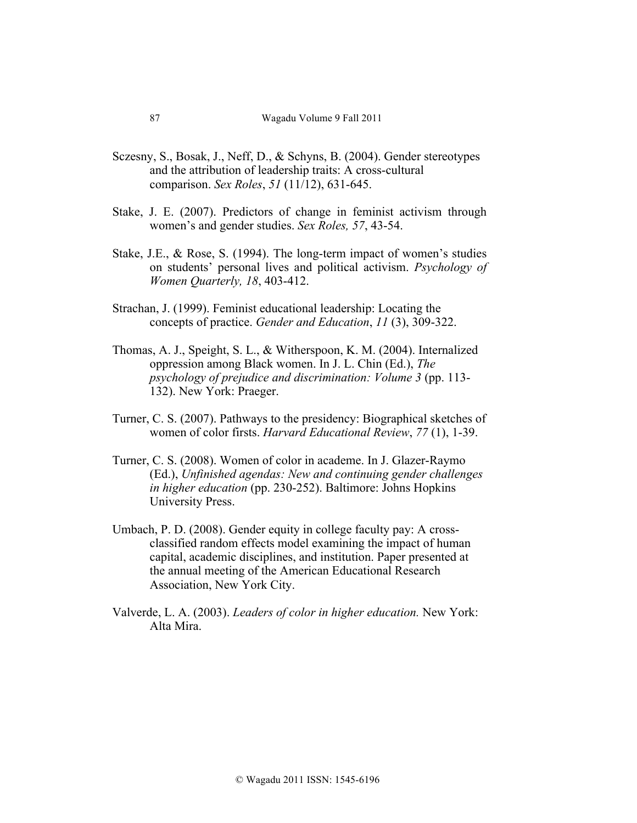- Sczesny, S., Bosak, J., Neff, D., & Schyns, B. (2004). Gender stereotypes and the attribution of leadership traits: A cross-cultural comparison. *Sex Roles*, *51* (11/12), 631-645.
- Stake, J. E. (2007). Predictors of change in feminist activism through women's and gender studies. *Sex Roles, 57*, 43-54.
- Stake, J.E., & Rose, S. (1994). The long-term impact of women's studies on students' personal lives and political activism. *Psychology of Women Quarterly, 18*, 403-412.
- Strachan, J. (1999). Feminist educational leadership: Locating the concepts of practice. *Gender and Education*, *11* (3), 309-322.
- Thomas, A. J., Speight, S. L., & Witherspoon, K. M. (2004). Internalized oppression among Black women. In J. L. Chin (Ed.), *The psychology of prejudice and discrimination: Volume 3* (pp. 113- 132). New York: Praeger.
- Turner, C. S. (2007). Pathways to the presidency: Biographical sketches of women of color firsts. *Harvard Educational Review*, *77* (1), 1-39.
- Turner, C. S. (2008). Women of color in academe. In J. Glazer-Raymo (Ed.), *Unfinished agendas: New and continuing gender challenges in higher education* (pp. 230-252). Baltimore: Johns Hopkins University Press.
- Umbach, P. D. (2008). Gender equity in college faculty pay: A crossclassified random effects model examining the impact of human capital, academic disciplines, and institution. Paper presented at the annual meeting of the American Educational Research Association, New York City.
- Valverde, L. A. (2003). *Leaders of color in higher education.* New York: Alta Mira.